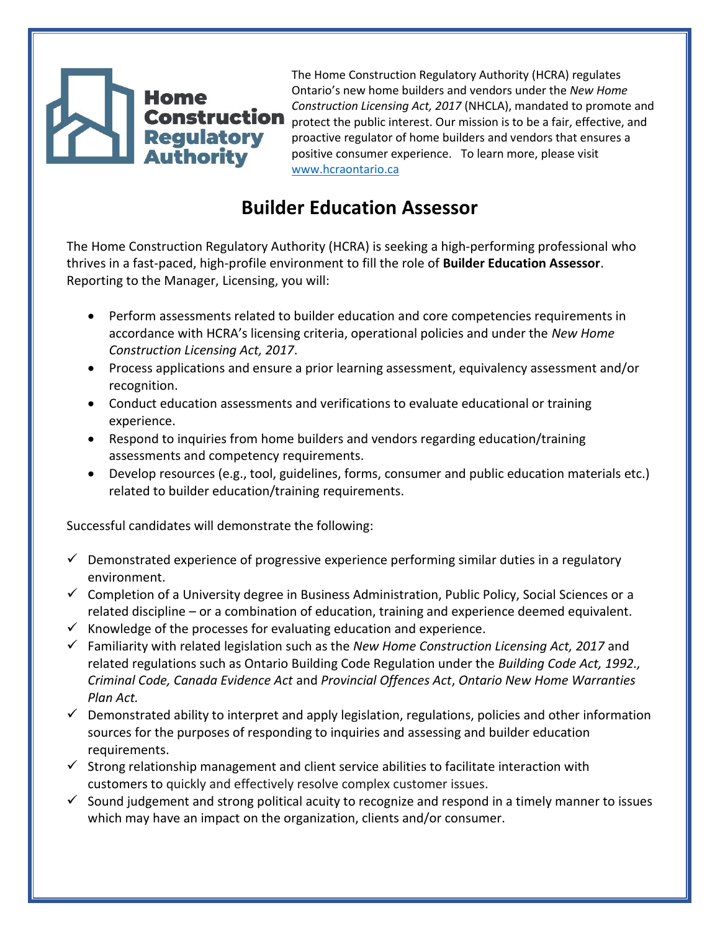## **Regulatory Authority**

The Home Construction Regulatory Authority (HCRA) regulates Ontario's new home builders and vendors under the *New Home Construction Licensing Act, 2017* (NHCLA), mandated to promote and **Construction** protect the public interest. Our mission is to be a fair, effective, and proactive regulator of home builders and vendors that ensures a positive consumer experience. To learn more, please visit [www.hcraontario.ca](http://www.hcraontario.ca/)

## **Builder Education Assessor**

The Home Construction Regulatory Authority (HCRA) is seeking a high-performing professional who thrives in a fast-paced, high-profile environment to fill the role of **Builder Education Assessor**. Reporting to the Manager, Licensing, you will:

- Perform assessments related to builder education and core competencies requirements in accordance with HCRA's licensing criteria, operational policies and under the *New Home Construction Licensing Act, 2017*.
- Process applications and ensure a prior learning assessment, equivalency assessment and/or recognition.
- Conduct education assessments and verifications to evaluate educational or training experience.
- Respond to inquiries from home builders and vendors regarding education/training assessments and competency requirements.
- Develop resources (e.g., tool, guidelines, forms, consumer and public education materials etc.) related to builder education/training requirements.

Successful candidates will demonstrate the following:

- $\checkmark$  Demonstrated experience of progressive experience performing similar duties in a regulatory environment.
- ✓ Completion of a University degree in Business Administration, Public Policy, Social Sciences or a related discipline – or a combination of education, training and experience deemed equivalent.
- $\checkmark$  Knowledge of the processes for evaluating education and experience.
- ✓ Familiarity with related legislation such as the *New Home Construction Licensing Act, 2017* and related regulations such as Ontario Building Code Regulation under the *Building Code Act, 1992., Criminal Code, Canada Evidence Act* and *Provincial Offences Act*, *Ontario New Home Warranties Plan Act.*
- ✓ Demonstrated ability to interpret and apply legislation, regulations, policies and other information sources for the purposes of responding to inquiries and assessing and builder education requirements.
- $\checkmark$  Strong relationship management and client service abilities to facilitate interaction with customers to quickly and effectively resolve complex customer issues.
- $\checkmark$  Sound judgement and strong political acuity to recognize and respond in a timely manner to issues which may have an impact on the organization, clients and/or consumer.